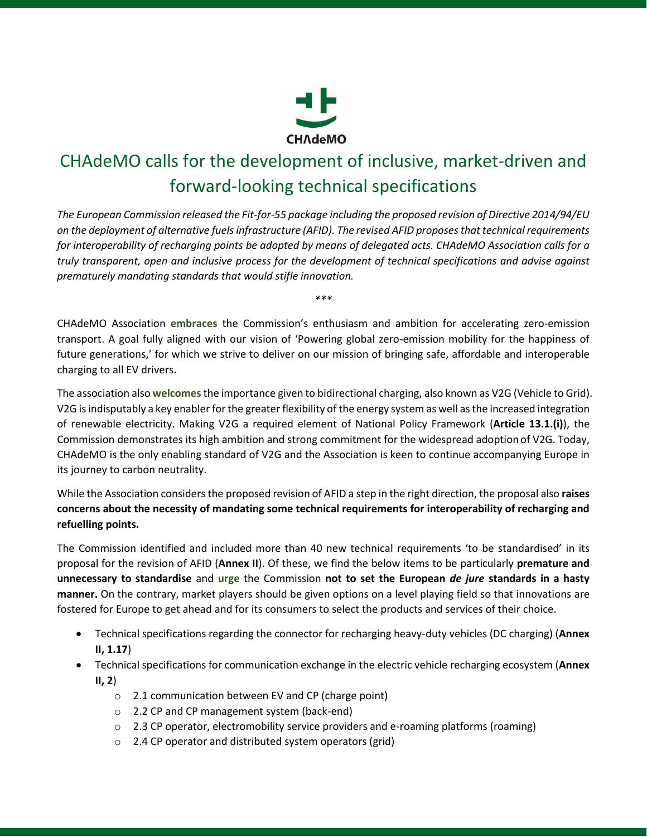

## CHAdeMO calls for the development of inclusive, market-driven and forward-looking technical specifications

*The European Commission released the Fit-for-55 package including the proposed revision of Directive 2014/94/EU on the deployment of alternative fuels infrastructure (AFID). The revised AFID proposes that technical requirements for interoperability of recharging points be adopted by means of delegated acts. CHAdeMO Association calls for a truly transparent, open and inclusive process for the development of technical specifications and advise against prematurely mandating standards that would stifle innovation.* 

CHAdeMO Association **embraces** the Commission's enthusiasm and ambition for accelerating zero-emission transport. A goal fully aligned with our vision of 'Powering global zero-emission mobility for the happiness of future generations,' for which we strive to deliver on our mission of bringing safe, affordable and interoperable charging to all EV drivers.

*\*\*\**

The association also **welcomes**the importance given to bidirectional charging, also known as V2G (Vehicle to Grid). V2G is indisputably a key enabler for the greater flexibility of the energy system as well asthe increased integration of renewable electricity. Making V2G a required element of National Policy Framework (**Article 13.1.(i)**), the Commission demonstrates its high ambition and strong commitment for the widespread adoptionof V2G. Today, CHAdeMO is the only enabling standard of V2G and the Association is keen to continue accompanying Europe in its journey to carbon neutrality.

While the Association considers the proposed revision of AFID a step in the right direction, the proposal also raises **concerns about the necessity of mandating some technical requirements for interoperability of recharging and refuelling points.**

The Commission identified and included more than 40 new technical requirements 'to be standardised' in its proposal for the revision of AFID (**Annex II**). Of these, we find the below items to be particularly **premature and unnecessary to standardise** and **urge** the Commission **not to set the European** *de jure* **standards in a hasty manner.** On the contrary, market players should be given options on a level playing field so that innovations are fostered for Europe to get ahead and for its consumers to select the products and services of their choice.

- Technical specifications regarding the connector for recharging heavy-duty vehicles (DC charging) (**Annex II, 1.17**)
- Technical specifications for communication exchange in the electric vehicle recharging ecosystem (**Annex II, 2**)
	- o 2.1 communication between EV and CP (charge point)
	- o 2.2 CP and CP management system (back-end)
	- $\circ$  2.3 CP operator, electromobility service providers and e-roaming platforms (roaming)
	- o 2.4 CP operator and distributed system operators (grid)